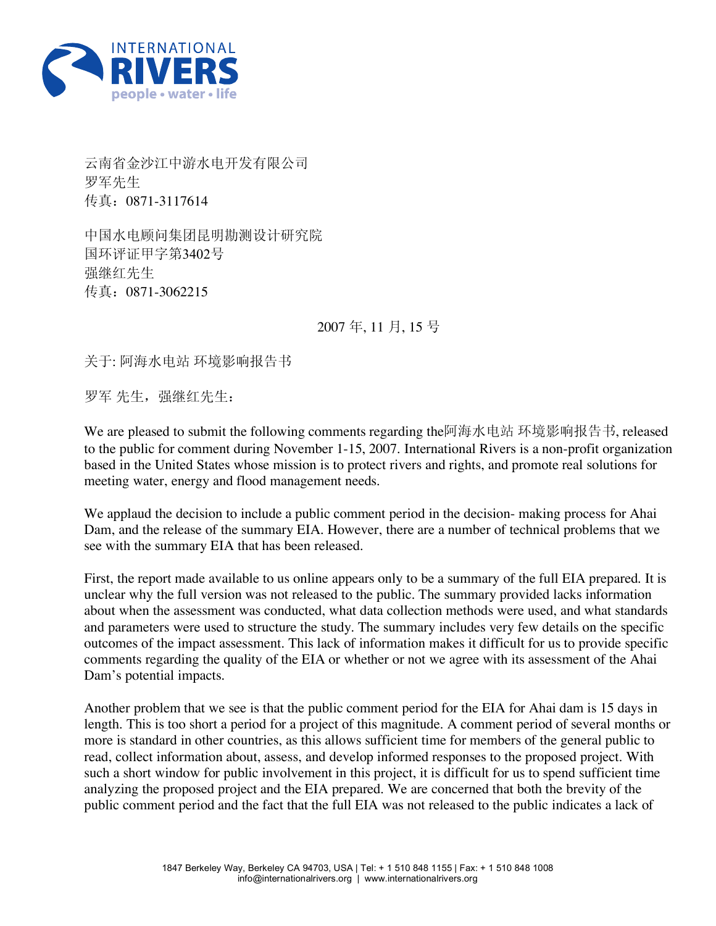

云南省金沙江中游水电开发有限公司 罗军先生 传真:0871-3117614

中国水电顾问集团昆明勘测设计研究院 国环评证甲字第3402号 强继红先生 传真:0871-3062215

2007 年, 11 月, 15 号

关于: 阿海水电站 环境影响报告书

罗军 先生,强继红先生:

We are pleased to submit the following comments regarding the阿海水电站 环境影响报告书, released to the public for comment during November 1-15, 2007. International Rivers is a non-profit organization based in the United States whose mission is to protect rivers and rights, and promote real solutions for meeting water, energy and flood management needs.

We applaud the decision to include a public comment period in the decision- making process for Ahai Dam, and the release of the summary EIA. However, there are a number of technical problems that we see with the summary EIA that has been released.

First, the report made available to us online appears only to be a summary of the full EIA prepared. It is unclear why the full version was not released to the public. The summary provided lacks information about when the assessment was conducted, what data collection methods were used, and what standards and parameters were used to structure the study. The summary includes very few details on the specific outcomes of the impact assessment. This lack of information makes it difficult for us to provide specific comments regarding the quality of the EIA or whether or not we agree with its assessment of the Ahai Dam's potential impacts.

Another problem that we see is that the public comment period for the EIA for Ahai dam is 15 days in length. This is too short a period for a project of this magnitude. A comment period of several months or more is standard in other countries, as this allows sufficient time for members of the general public to read, collect information about, assess, and develop informed responses to the proposed project. With such a short window for public involvement in this project, it is difficult for us to spend sufficient time analyzing the proposed project and the EIA prepared. We are concerned that both the brevity of the public comment period and the fact that the full EIA was not released to the public indicates a lack of